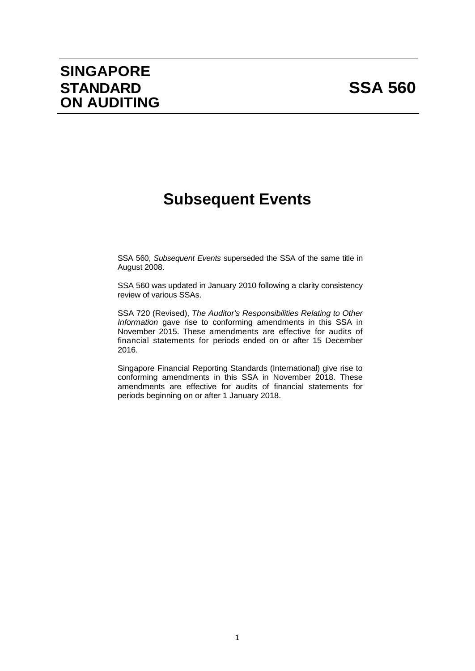# **SINGAPORE STANDARD SSA 560 ON AUDITING**

# **Subsequent Events**

SSA 560, *Subsequent Events* superseded the SSA of the same title in August 2008.

SSA 560 was updated in January 2010 following a clarity consistency review of various SSAs.

SSA 720 (Revised), *The Auditor's Responsibilities Relating to Other Information* gave rise to conforming amendments in this SSA in November 2015. These amendments are effective for audits of financial statements for periods ended on or after 15 December 2016.

Singapore Financial Reporting Standards (International) give rise to conforming amendments in this SSA in November 2018. These amendments are effective for audits of financial statements for periods beginning on or after 1 January 2018.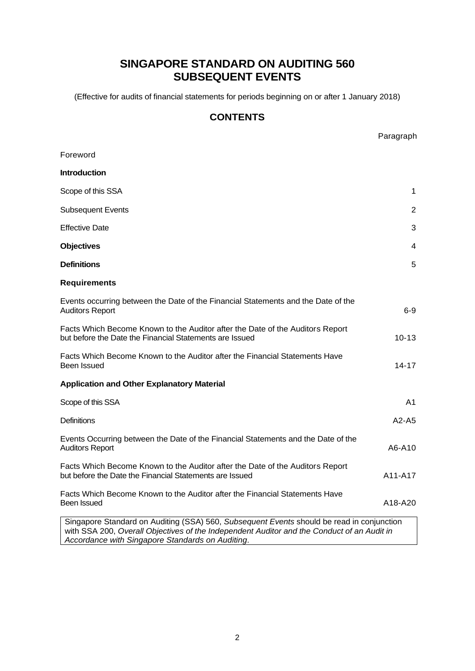# **SINGAPORE STANDARD ON AUDITING 560 SUBSEQUENT EVENTS**

(Effective for audits of financial statements for periods beginning on or after 1 January 2018)

# **CONTENTS**

|                                                                                                                                                                                         | Paragraph      |
|-----------------------------------------------------------------------------------------------------------------------------------------------------------------------------------------|----------------|
| Foreword                                                                                                                                                                                |                |
| <b>Introduction</b>                                                                                                                                                                     |                |
| Scope of this SSA                                                                                                                                                                       | 1              |
| <b>Subsequent Events</b>                                                                                                                                                                | 2              |
| <b>Effective Date</b>                                                                                                                                                                   | 3              |
| <b>Objectives</b>                                                                                                                                                                       | 4              |
| <b>Definitions</b>                                                                                                                                                                      | 5              |
| <b>Requirements</b>                                                                                                                                                                     |                |
| Events occurring between the Date of the Financial Statements and the Date of the<br><b>Auditors Report</b>                                                                             | $6-9$          |
| Facts Which Become Known to the Auditor after the Date of the Auditors Report<br>but before the Date the Financial Statements are Issued                                                | $10 - 13$      |
| Facts Which Become Known to the Auditor after the Financial Statements Have<br>Been Issued                                                                                              | 14-17          |
| <b>Application and Other Explanatory Material</b>                                                                                                                                       |                |
| Scope of this SSA                                                                                                                                                                       | A <sub>1</sub> |
| Definitions                                                                                                                                                                             | A2-A5          |
| Events Occurring between the Date of the Financial Statements and the Date of the<br><b>Auditors Report</b>                                                                             | A6-A10         |
| Facts Which Become Known to the Auditor after the Date of the Auditors Report<br>but before the Date the Financial Statements are Issued                                                | A11-A17        |
| Facts Which Become Known to the Auditor after the Financial Statements Have<br>Been Issued                                                                                              | A18-A20        |
| Singapore Standard on Auditing (SSA) 560, Subsequent Events should be read in conjunction<br>with SSA 200, Overall Objectives of the Independent Auditor and the Conduct of an Audit in |                |

*Accordance with Singapore Standards on Auditing*.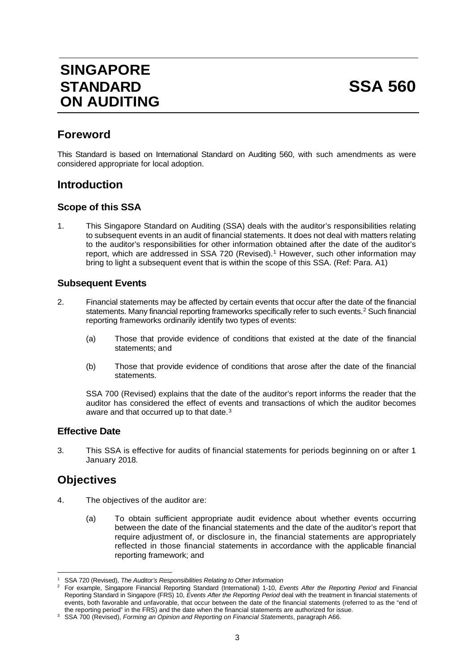# **SINGAPORE STANDARD SSA 560 ON AUDITING**

# **Foreword**

This Standard is based on International Standard on Auditing 560, with such amendments as were considered appropriate for local adoption.

# **Introduction**

# **Scope of this SSA**

1. This Singapore Standard on Auditing (SSA) deals with the auditor's responsibilities relating to subsequent events in an audit of financial statements. It does not deal with matters relating to the auditor's responsibilities for other information obtained after the date of the auditor's report, which are addressed in SSA 720 (Revised).1 However, such other information may bring to light a subsequent event that is within the scope of this SSA. (Ref: Para. A1)

# **Subsequent Events**

- 2. Financial statements may be affected by certain events that occur after the date of the financial statements. Many financial reporting frameworks specifically refer to such events.<sup>2</sup> Such financial reporting frameworks ordinarily identify two types of events:
	- (a) Those that provide evidence of conditions that existed at the date of the financial statements; and
	- (b) Those that provide evidence of conditions that arose after the date of the financial statements.

SSA 700 (Revised) explains that the date of the auditor's report informs the reader that the auditor has considered the effect of events and transactions of which the auditor becomes aware and that occurred up to that date.<sup>3</sup>

# **Effective Date**

3. This SSA is effective for audits of financial statements for periods beginning on or after 1 January 2018.

# **Objectives**

- 4. The objectives of the auditor are:
	- (a) To obtain sufficient appropriate audit evidence about whether events occurring between the date of the financial statements and the date of the auditor's report that require adjustment of, or disclosure in, the financial statements are appropriately reflected in those financial statements in accordance with the applicable financial reporting framework; and

<sup>-</sup><sup>1</sup> SSA 720 (Revised), *The Auditor's Responsibilities Relating to Other Information*

<sup>2</sup> For example, Singapore Financial Reporting Standard (International) 1-10, *Events After the Reporting Period* and Financial Reporting Standard in Singapore (FRS) 10, *Events After the Reporting Period* deal with the treatment in financial statements of events, both favorable and unfavorable, that occur between the date of the financial statements (referred to as the "end of the reporting period" in the FRS) and the date when the financial statements are authorized for issue.

<sup>&</sup>lt;sup>3</sup> SSA 700 (Revised), *Forming an Opinion and Reporting on Financial Statements*, paragraph A66.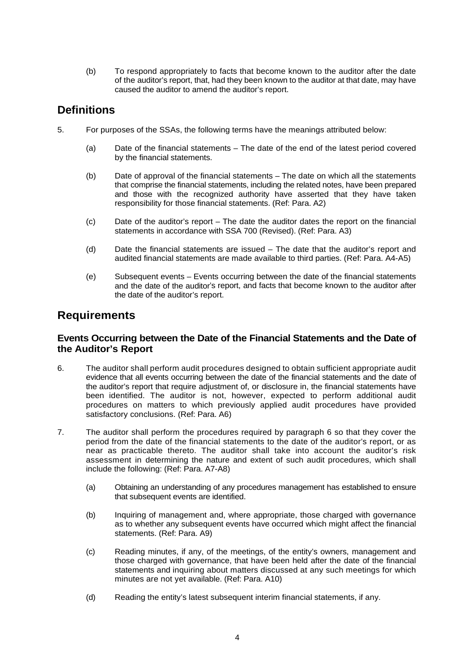(b) To respond appropriately to facts that become known to the auditor after the date of the auditor's report, that, had they been known to the auditor at that date, may have caused the auditor to amend the auditor's report.

# **Definitions**

- 5. For purposes of the SSAs, the following terms have the meanings attributed below:
	- (a) Date of the financial statements The date of the end of the latest period covered by the financial statements.
	- (b) Date of approval of the financial statements The date on which all the statements that comprise the financial statements, including the related notes, have been prepared and those with the recognized authority have asserted that they have taken responsibility for those financial statements. (Ref: Para. A2)
	- (c) Date of the auditor's report The date the auditor dates the report on the financial statements in accordance with SSA 700 (Revised). (Ref: Para. A3)
	- (d) Date the financial statements are issued The date that the auditor's report and audited financial statements are made available to third parties. (Ref: Para. A4-A5)
	- (e) Subsequent events Events occurring between the date of the financial statements and the date of the auditor's report, and facts that become known to the auditor after the date of the auditor's report.

# **Requirements**

# **Events Occurring between the Date of the Financial Statements and the Date of the Auditor's Report**

- 6. The auditor shall perform audit procedures designed to obtain sufficient appropriate audit evidence that all events occurring between the date of the financial statements and the date of the auditor's report that require adjustment of, or disclosure in, the financial statements have been identified. The auditor is not, however, expected to perform additional audit procedures on matters to which previously applied audit procedures have provided satisfactory conclusions. (Ref: Para. A6)
- 7. The auditor shall perform the procedures required by paragraph 6 so that they cover the period from the date of the financial statements to the date of the auditor's report, or as near as practicable thereto. The auditor shall take into account the auditor's risk assessment in determining the nature and extent of such audit procedures, which shall include the following: (Ref: Para. A7-A8)
	- (a) Obtaining an understanding of any procedures management has established to ensure that subsequent events are identified.
	- (b) Inquiring of management and, where appropriate, those charged with governance as to whether any subsequent events have occurred which might affect the financial statements. (Ref: Para. A9)
	- (c) Reading minutes, if any, of the meetings, of the entity's owners, management and those charged with governance, that have been held after the date of the financial statements and inquiring about matters discussed at any such meetings for which minutes are not yet available. (Ref: Para. A10)
	- (d) Reading the entity's latest subsequent interim financial statements, if any.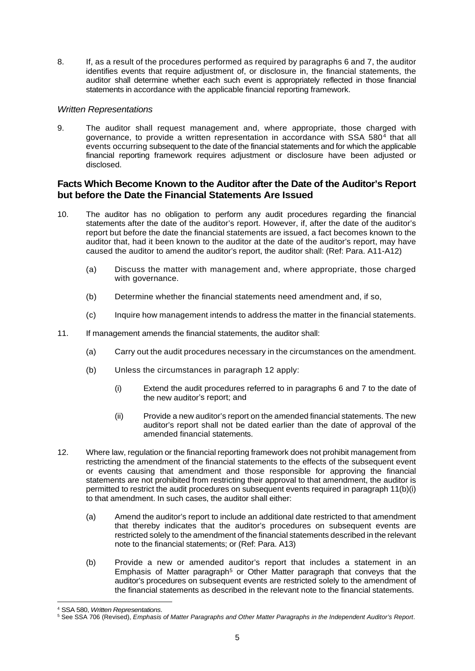8. If, as a result of the procedures performed as required by paragraphs 6 and 7, the auditor identifies events that require adjustment of, or disclosure in, the financial statements, the auditor shall determine whether each such event is appropriately reflected in those financial statements in accordance with the applicable financial reporting framework.

#### *Written Representations*

9. The auditor shall request management and, where appropriate, those charged with governance, to provide a written representation in accordance with SSA 580 $4$  that all events occurring subsequent to the date of the financial statements and for which the applicable financial reporting framework requires adjustment or disclosure have been adjusted or disclosed.

### **Facts Which Become Known to the Auditor after the Date of the Auditor's Report but before the Date the Financial Statements Are Issued**

- 10. The auditor has no obligation to perform any audit procedures regarding the financial statements after the date of the auditor's report. However, if, after the date of the auditor's report but before the date the financial statements are issued, a fact becomes known to the auditor that, had it been known to the auditor at the date of the auditor's report, may have caused the auditor to amend the auditor's report, the auditor shall: (Ref: Para. A11-A12)
	- (a) Discuss the matter with management and, where appropriate, those charged with governance.
	- (b) Determine whether the financial statements need amendment and, if so,
	- (c) Inquire how management intends to address the matter in the financial statements.
- 11. If management amends the financial statements, the auditor shall:
	- (a) Carry out the audit procedures necessary in the circumstances on the amendment.
	- (b) Unless the circumstances in paragraph 12 apply:
		- (i) Extend the audit procedures referred to in paragraphs 6 and 7 to the date of the new auditor's report; and
		- (ii) Provide a new auditor's report on the amended financial statements. The new auditor's report shall not be dated earlier than the date of approval of the amended financial statements.
- 12. Where law, regulation or the financial reporting framework does not prohibit management from restricting the amendment of the financial statements to the effects of the subsequent event or events causing that amendment and those responsible for approving the financial statements are not prohibited from restricting their approval to that amendment, the auditor is permitted to restrict the audit procedures on subsequent events required in paragraph 11(b)(i) to that amendment. In such cases, the auditor shall either:
	- (a) Amend the auditor's report to include an additional date restricted to that amendment that thereby indicates that the auditor's procedures on subsequent events are restricted solely to the amendment of the financial statements described in the relevant note to the financial statements; or (Ref: Para. A13)
	- (b) Provide a new or amended auditor's report that includes a statement in an Emphasis of Matter paragraph<sup>5</sup> or Other Matter paragraph that conveys that the auditor's procedures on subsequent events are restricted solely to the amendment of the financial statements as described in the relevant note to the financial statements.

<sup>-</sup><sup>4</sup> SSA 580, *Written Representations*.

<sup>5</sup> See SSA 706 (Revised), *Emphasis of Matter Paragraphs and Other Matter Paragraphs in the Independent Auditor's Report*.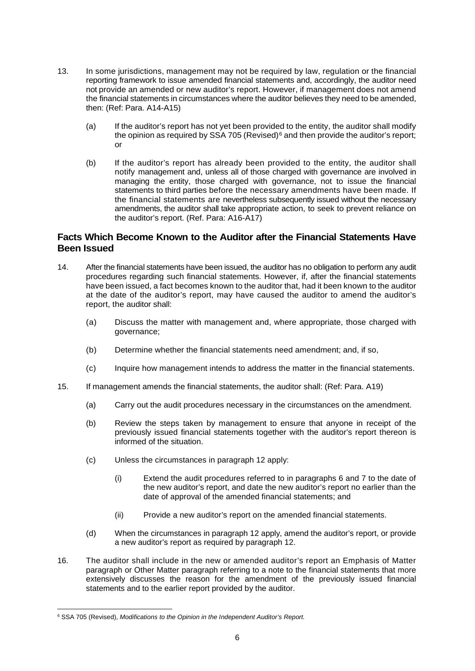- 13. In some jurisdictions, management may not be required by law, regulation or the financial reporting framework to issue amended financial statements and, accordingly, the auditor need not provide an amended or new auditor's report. However, if management does not amend the financial statements in circumstances where the auditor believes they need to be amended, then: (Ref: Para. A14-A15)
	- (a) If the auditor's report has not yet been provided to the entity, the auditor shall modify the opinion as required by SSA 705 (Revised)<sup>6</sup> and then provide the auditor's report; or
	- (b) If the auditor's report has already been provided to the entity, the auditor shall notify management and, unless all of those charged with governance are involved in managing the entity, those charged with governance, not to issue the financial statements to third parties before the necessary amendments have been made. If the financial statements are nevertheless subsequently issued without the necessary amendments, the auditor shall take appropriate action, to seek to prevent reliance on the auditor's report. (Ref. Para: A16-A17)

### **Facts Which Become Known to the Auditor after the Financial Statements Have Been Issued**

- 14. After the financial statements have been issued, the auditor has no obligation to perform any audit procedures regarding such financial statements. However, if, after the financial statements have been issued, a fact becomes known to the auditor that, had it been known to the auditor at the date of the auditor's report, may have caused the auditor to amend the auditor's report, the auditor shall:
	- (a) Discuss the matter with management and, where appropriate, those charged with governance;
	- (b) Determine whether the financial statements need amendment; and, if so,
	- (c) Inquire how management intends to address the matter in the financial statements.
- 15. If management amends the financial statements, the auditor shall: (Ref: Para. A19)
	- (a) Carry out the audit procedures necessary in the circumstances on the amendment.
	- (b) Review the steps taken by management to ensure that anyone in receipt of the previously issued financial statements together with the auditor's report thereon is informed of the situation.
	- (c) Unless the circumstances in paragraph 12 apply:
		- (i) Extend the audit procedures referred to in paragraphs 6 and 7 to the date of the new auditor's report, and date the new auditor's report no earlier than the date of approval of the amended financial statements; and
		- (ii) Provide a new auditor's report on the amended financial statements.
	- (d) When the circumstances in paragraph 12 apply, amend the auditor's report, or provide a new auditor's report as required by paragraph 12.
- 16. The auditor shall include in the new or amended auditor's report an Emphasis of Matter paragraph or Other Matter paragraph referring to a note to the financial statements that more extensively discusses the reason for the amendment of the previously issued financial statements and to the earlier report provided by the auditor.

<u>.</u>

<sup>6</sup> SSA 705 (Revised), *Modifications to the Opinion in the Independent Auditor's Report.*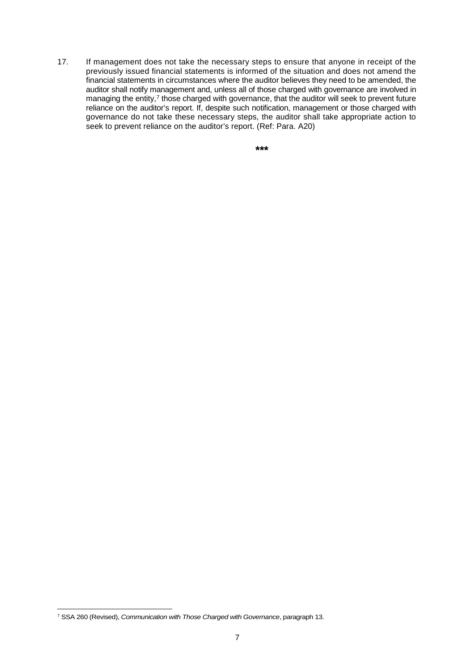17. If management does not take the necessary steps to ensure that anyone in receipt of the previously issued financial statements is informed of the situation and does not amend the financial statements in circumstances where the auditor believes they need to be amended, the auditor shall notify management and, unless all of those charged with governance are involved in managing the entity,<sup>7</sup> those charged with governance, that the auditor will seek to prevent future reliance on the auditor's report. If, despite such notification, management or those charged with governance do not take these necessary steps, the auditor shall take appropriate action to seek to prevent reliance on the auditor's report. (Ref: Para. A20)

**\*\*\***

<u>.</u>

<sup>7</sup> SSA 260 (Revised), *Communication with Those Charged with Governance*, paragraph 13.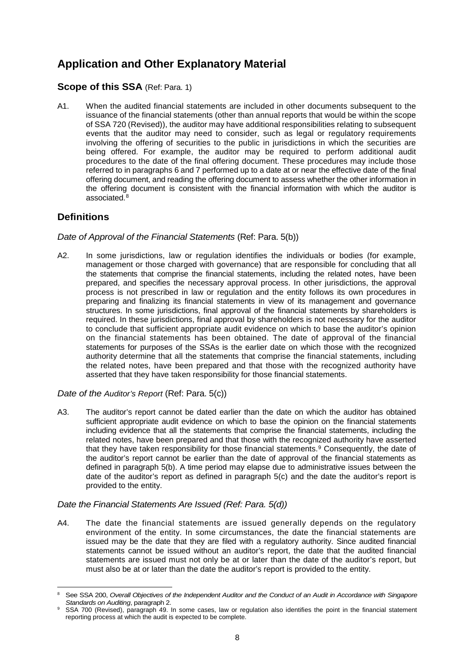# **Application and Other Explanatory Material**

# **Scope of this SSA (Ref: Para. 1)**

A1. When the audited financial statements are included in other documents subsequent to the issuance of the financial statements (other than annual reports that would be within the scope of SSA 720 (Revised)), the auditor may have additional responsibilities relating to subsequent events that the auditor may need to consider, such as legal or regulatory requirements involving the offering of securities to the public in jurisdictions in which the securities are being offered. For example, the auditor may be required to perform additional audit procedures to the date of the final offering document. These procedures may include those referred to in paragraphs 6 and 7 performed up to a date at or near the effective date of the final offering document, and reading the offering document to assess whether the other information in the offering document is consistent with the financial information with which the auditor is associated.8

# **Definitions**

### *Date of Approval of the Financial Statements* (Ref: Para. 5(b))

A2. In some jurisdictions, law or regulation identifies the individuals or bodies (for example, management or those charged with governance) that are responsible for concluding that all the statements that comprise the financial statements, including the related notes, have been prepared, and specifies the necessary approval process. In other jurisdictions, the approval process is not prescribed in law or regulation and the entity follows its own procedures in preparing and finalizing its financial statements in view of its management and governance structures. In some jurisdictions, final approval of the financial statements by shareholders is required. In these jurisdictions, final approval by shareholders is not necessary for the auditor to conclude that sufficient appropriate audit evidence on which to base the auditor's opinion on the financial statements has been obtained. The date of approval of the financial statements for purposes of the SSAs is the earlier date on which those with the recognized authority determine that all the statements that comprise the financial statements, including the related notes, have been prepared and that those with the recognized authority have asserted that they have taken responsibility for those financial statements.

### *Date of the Auditor's Report* (Ref: Para. 5(c))

A3. The auditor's report cannot be dated earlier than the date on which the auditor has obtained sufficient appropriate audit evidence on which to base the opinion on the financial statements including evidence that all the statements that comprise the financial statements, including the related notes, have been prepared and that those with the recognized authority have asserted that they have taken responsibility for those financial statements.<sup>9</sup> Consequently, the date of the auditor's report cannot be earlier than the date of approval of the financial statements as defined in paragraph 5(b). A time period may elapse due to administrative issues between the date of the auditor's report as defined in paragraph 5(c) and the date the auditor's report is provided to the entity.

### *Date the Financial Statements Are Issued (Ref: Para. 5(d))*

A4. The date the financial statements are issued generally depends on the regulatory environment of the entity. In some circumstances, the date the financial statements are issued may be the date that they are filed with a regulatory authority. Since audited financial statements cannot be issued without an auditor's report, the date that the audited financial statements are issued must not only be at or later than the date of the auditor's report, but must also be at or later than the date the auditor's report is provided to the entity.

<sup>-</sup><sup>8</sup> See SSA 200, *Overall Objectives of the Independent Auditor and the Conduct of an Audit in Accordance with Singapore Standards on Auditing*, paragraph 2.

<sup>9</sup> SSA 700 (Revised), paragraph 49. In some cases, law or regulation also identifies the point in the financial statement reporting process at which the audit is expected to be complete.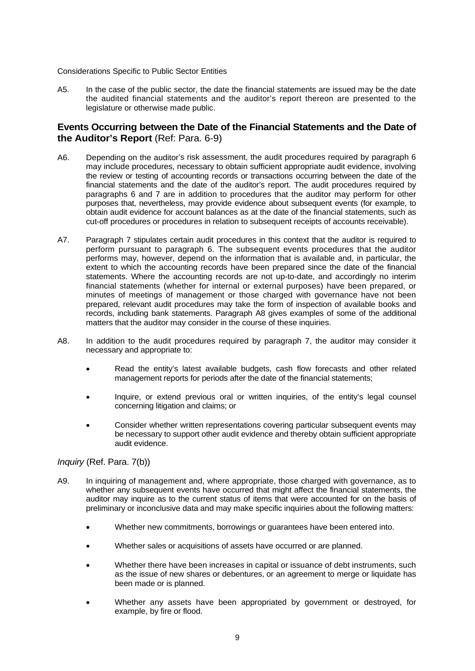Considerations Specific to Public Sector Entities

A5. In the case of the public sector, the date the financial statements are issued may be the date the audited financial statements and the auditor's report thereon are presented to the legislature or otherwise made public.

### **Events Occurring between the Date of the Financial Statements and the Date of the Auditor's Report** (Ref: Para. 6-9)

- A6. Depending on the auditor's risk assessment, the audit procedures required by paragraph 6 may include procedures, necessary to obtain sufficient appropriate audit evidence, involving the review or testing of accounting records or transactions occurring between the date of the financial statements and the date of the auditor's report. The audit procedures required by paragraphs 6 and 7 are in addition to procedures that the auditor may perform for other purposes that, nevertheless, may provide evidence about subsequent events (for example, to obtain audit evidence for account balances as at the date of the financial statements, such as cut-off procedures or procedures in relation to subsequent receipts of accounts receivable).
- A7. Paragraph 7 stipulates certain audit procedures in this context that the auditor is required to perform pursuant to paragraph 6. The subsequent events procedures that the auditor performs may, however, depend on the information that is available and, in particular, the extent to which the accounting records have been prepared since the date of the financial statements. Where the accounting records are not up-to-date, and accordingly no interim financial statements (whether for internal or external purposes) have been prepared, or minutes of meetings of management or those charged with governance have not been prepared, relevant audit procedures may take the form of inspection of available books and records, including bank statements. Paragraph A8 gives examples of some of the additional matters that the auditor may consider in the course of these inquiries.
- A8. In addition to the audit procedures required by paragraph 7, the auditor may consider it necessary and appropriate to:
	- Read the entity's latest available budgets, cash flow forecasts and other related management reports for periods after the date of the financial statements;
	- Inquire, or extend previous oral or written inquiries, of the entity's legal counsel concerning litigation and claims; or
	- Consider whether written representations covering particular subsequent events may be necessary to support other audit evidence and thereby obtain sufficient appropriate audit evidence.

#### *Inquiry* (Ref. Para. 7(b))

- A9. In inquiring of management and, where appropriate, those charged with governance, as to whether any subsequent events have occurred that might affect the financial statements, the auditor may inquire as to the current status of items that were accounted for on the basis of preliminary or inconclusive data and may make specific inquiries about the following matters:
	- Whether new commitments, borrowings or guarantees have been entered into.
	- Whether sales or acquisitions of assets have occurred or are planned.
	- Whether there have been increases in capital or issuance of debt instruments, such as the issue of new shares or debentures, or an agreement to merge or liquidate has been made or is planned.
	- Whether any assets have been appropriated by government or destroyed, for example, by fire or flood.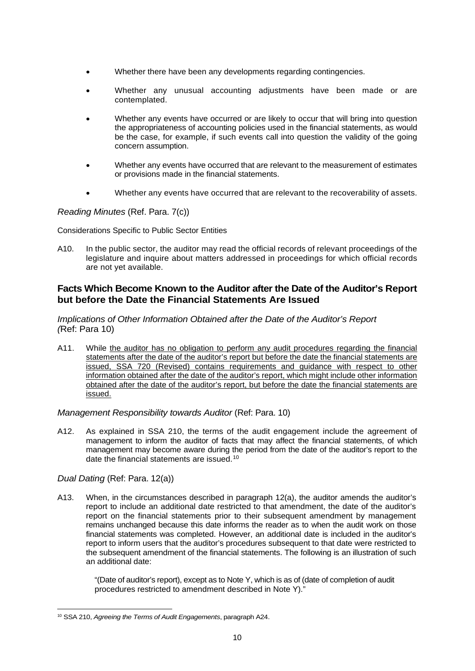- Whether there have been any developments regarding contingencies.
- Whether any unusual accounting adjustments have been made or are contemplated.
- Whether any events have occurred or are likely to occur that will bring into question the appropriateness of accounting policies used in the financial statements, as would be the case, for example, if such events call into question the validity of the going concern assumption.
- Whether any events have occurred that are relevant to the measurement of estimates or provisions made in the financial statements.
- Whether any events have occurred that are relevant to the recoverability of assets.

### *Reading Minutes* (Ref. Para. 7(c))

Considerations Specific to Public Sector Entities

A10. In the public sector, the auditor may read the official records of relevant proceedings of the legislature and inquire about matters addressed in proceedings for which official records are not yet available.

# **Facts Which Become Known to the Auditor after the Date of the Auditor's Report but before the Date the Financial Statements Are Issued**

*Implications of Other Information Obtained after the Date of the Auditor's Report (*Ref: Para 10)

A11. While the auditor has no obligation to perform any audit procedures regarding the financial statements after the date of the auditor's report but before the date the financial statements are issued, SSA 720 (Revised) contains requirements and guidance with respect to other information obtained after the date of the auditor's report, which might include other information obtained after the date of the auditor's report, but before the date the financial statements are issued.

### *Management Responsibility towards Auditor* (Ref: Para. 10)

A12. As explained in SSA 210, the terms of the audit engagement include the agreement of management to inform the auditor of facts that may affect the financial statements, of which management may become aware during the period from the date of the auditor's report to the date the financial statements are issued.10

### *Dual Dating* (Ref: Para. 12(a))

A13. When, in the circumstances described in paragraph 12(a), the auditor amends the auditor's report to include an additional date restricted to that amendment, the date of the auditor's report on the financial statements prior to their subsequent amendment by management remains unchanged because this date informs the reader as to when the audit work on those financial statements was completed. However, an additional date is included in the auditor's report to inform users that the auditor's procedures subsequent to that date were restricted to the subsequent amendment of the financial statements. The following is an illustration of such an additional date:

> "(Date of auditor's report), except as to Note Y, which is as of (date of completion of audit procedures restricted to amendment described in Note Y)."

<sup>&</sup>lt;u>.</u> <sup>10</sup> SSA 210, *Agreeing the Terms of Audit Engagements*, paragraph A24.